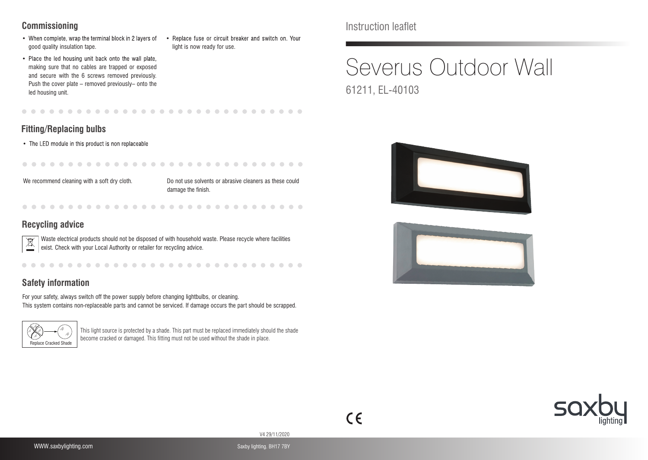#### **Commissioning**

 $\sim$ 

- When complete, wrap the terminal block in 2 layers of good quality insulation tape.
- Replace fuse or circuit breaker and switch on. Your light is now ready for use.
- Place the led housing unit back onto the wall plate, making sure that no cables are trapped or exposed and secure with the 6 screws removed previously. Push the cover plate – removed previously– onto the led housing unit.

#### **Fitting/Replacing bulbs**

• The LED module in this product is non replaceable

. . . . . . . . . . .

We recommend cleaning with a soft dry cloth. Do not use solvents or abrasive cleaners as these could damage the finish.

. . . . . . . . . . . . . . . .

#### **Recycling advice**

Waste electrical products should not be disposed of with household waste. Please recycle where facilities  $\sum_{i=1}^{n}$ exist. Check with your Local Authority or retailer for recycling advice.

### **Safety information**

For your safety, always switch off the power supply before changing lightbulbs, or cleaning. This system contains non-replaceable parts and cannot be serviced. If damage occurs the part should be scrapped.



This light source is protected by a shade. This part must be replaced immediately should the shade become cracked or damaged. This fitting must not be used without the shade in place.

Instruction leaflet

# Severus Outdoor Wall 61211, EL-40103







V4 29/11/2020

 $\epsilon$